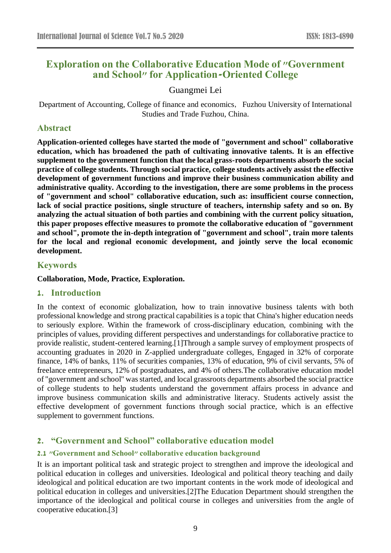# **Exploration on the Collaborative Education Mode of "Government and School" for Application-Oriented College**

# Guangmei Lei

Department of Accounting, College of finance and economics, Fuzhou University of International Studies and Trade Fuzhou, China.

# **Abstract**

**Application-oriented colleges have started the mode of "government and school" collaborative education, which has broadened the path of cultivating innovative talents. It is an effective supplement to the government function that the local grass-roots departments absorb the social practice of college students. Through social practice, college students actively assist the effective development of government functions and improve their business communication ability and administrative quality. According to the investigation, there are some problems in the process of "government and school" collaborative education, such as: insufficient course connection, lack of social practice positions, single structure of teachers, internship safety and so on. By analyzing the actual situation of both parties and combining with the current policy situation, this paper proposes effective measures to promote the collaborative education of "government and school", promote the in-depth integration of "government and school", train more talents for the local and regional economic development, and jointly serve the local economic development.**

# **Keywords**

### **Collaboration, Mode, Practice, Exploration.**

### **1. Introduction**

In the context of economic globalization, how to train innovative business talents with both professional knowledge and strong practical capabilities is a topic that China's higher education needs to seriously explore. Within the framework of cross-disciplinary education, combining with the principles of values, providing different perspectives and understandings for collaborative practice to provide realistic, student-centered learning.[1]Through a sample survey of employment prospects of accounting graduates in 2020 in Z-applied undergraduate colleges, Engaged in 32% of corporate finance, 14% of banks, 11% of securities companies, 13% of education, 9% of civil servants, 5% of freelance entrepreneurs, 12% of postgraduates, and 4% of others.The collaborative education model of "government and school" was started, and local grassroots departments absorbed the social practice of college students to help students understand the government affairs process in advance and improve business communication skills and administrative literacy. Students actively assist the effective development of government functions through social practice, which is an effective supplement to government functions.

# **2. "Government and School" collaborative education model**

# **2.1 "Government and School" collaborative education background**

It is an important political task and strategic project to strengthen and improve the ideological and political education in colleges and universities. Ideological and political theory teaching and daily ideological and political education are two important contents in the work mode of ideological and political education in colleges and universities.[2]The Education Department should strengthen the importance of the ideological and political course in colleges and universities from the angle of cooperative education.[3]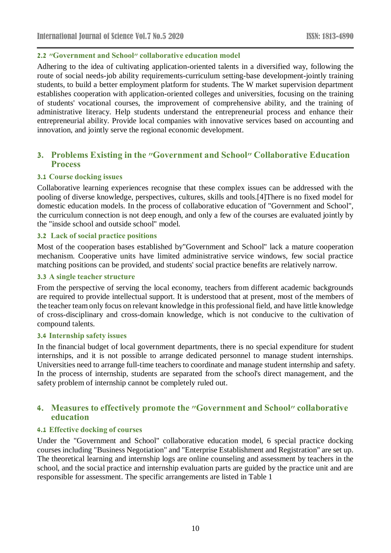### **2.2 "Government and School" collaborative education model**

Adhering to the idea of cultivating application-oriented talents in a diversified way, following the route of social needs-job ability requirements-curriculum setting-base development-jointly training students, to build a better employment platform for students. The W market supervision department establishes cooperation with application-oriented colleges and universities, focusing on the training of students' vocational courses, the improvement of comprehensive ability, and the training of administrative literacy. Help students understand the entrepreneurial process and enhance their entrepreneurial ability. Provide local companies with innovative services based on accounting and innovation, and jointly serve the regional economic development.

# **3. Problems Existing in the "Government and School" Collaborative Education Process**

### **3.1 Course docking issues**

Collaborative learning experiences recognise that these complex issues can be addressed with the pooling of diverse knowledge, perspectives, cultures, skills and tools.[4]There is no fixed model for domestic education models. In the process of collaborative education of "Government and School", the curriculum connection is not deep enough, and only a few of the courses are evaluated jointly by the "inside school and outside school" model.

#### **3.2 Lack of social practice positions**

Most of the cooperation bases established by"Government and School" lack a mature cooperation mechanism. Cooperative units have limited administrative service windows, few social practice matching positions can be provided, and students' social practice benefits are relatively narrow.

#### **3.3 A single teacher structure**

From the perspective of serving the local economy, teachers from different academic backgrounds are required to provide intellectual support. It is understood that at present, most of the members of the teacher team only focus on relevant knowledge in this professional field, and have little knowledge of cross-disciplinary and cross-domain knowledge, which is not conducive to the cultivation of compound talents.

#### **3.4 Internship safety issues**

In the financial budget of local government departments, there is no special expenditure for student internships, and it is not possible to arrange dedicated personnel to manage student internships. Universities need to arrange full-time teachers to coordinate and manage student internship and safety. In the process of internship, students are separated from the school's direct management, and the safety problem of internship cannot be completely ruled out.

# **4. Measures to effectively promote the "Government and School" collaborative education**

### **4.1 Effective docking of courses**

Under the "Government and School" collaborative education model, 6 special practice docking courses including "Business Negotiation" and "Enterprise Establishment and Registration" are set up. The theoretical learning and internship logs are online counseling and assessment by teachers in the school, and the social practice and internship evaluation parts are guided by the practice unit and are responsible for assessment. The specific arrangements are listed in Table 1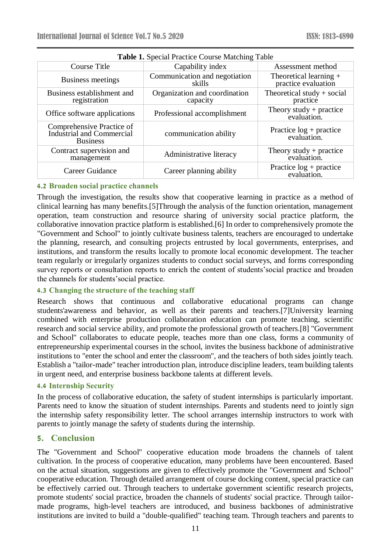| <b>Table 1.</b> Special Practice Course Matching Table                    |                                           |                                                 |
|---------------------------------------------------------------------------|-------------------------------------------|-------------------------------------------------|
| Course Title                                                              | Capability index                          | Assessment method                               |
| Business meetings                                                         | Communication and negotiation<br>skills   | Theoretical learning $+$<br>practice evaluation |
| Business establishment and<br>registration                                | Organization and coordination<br>capacity | Theoretical study $+$ social<br>practice        |
| Office software applications                                              | Professional accomplishment               | Theory study + practice evaluation.             |
| Comprehensive Practice of<br>Industrial and Commercial<br><b>Business</b> | communication ability                     | Practice $log +$ practice<br>evaluation.        |
| Contract supervision and<br>management                                    | Administrative literacy                   | Theory study + practice evaluation.             |
| Career Guidance                                                           | Career planning ability                   | Practice log + practice<br>evaluation.          |

**Table 1.** Special Practice Course Matching Table

# **4.2 Broaden social practice channels**

Through the investigation, the results show that cooperative learning in practice as a method of clinical learning has many benefits.[5]Through the analysis of the function orientation, management operation, team construction and resource sharing of university social practice platform, the collaborative innovation practice platform is established.[6] In order to comprehensively promote the "Government and School" to jointly cultivate business talents, teachers are encouraged to undertake the planning, research, and consulting projects entrusted by local governments, enterprises, and institutions, and transform the results locally to promote local economic development. The teacher team regularly or irregularly organizes students to conduct social surveys, and forms corresponding survey reports or consultation reports to enrich the content of students'social practice and broaden the channels for students'social practice.

### **4.3 Changing the structure of the teaching staff**

Research shows that continuous and collaborative educational programs can change students'awareness and behavior, as well as their parents and teachers.[7]University learning combined with enterprise production collaboration education can promote teaching, scientific research and social service ability, and promote the professional growth of teachers.[8] "Government and School" collaborates to educate people, teaches more than one class, forms a community of entrepreneurship experimental courses in the school, invites the business backbone of administrative institutions to "enter the school and enter the classroom", and the teachers of both sides jointly teach. Establish a "tailor-made" teacher introduction plan, introduce discipline leaders, team building talents in urgent need, and enterprise business backbone talents at different levels.

### **4.4 Internship Security**

In the process of collaborative education, the safety of student internships is particularly important. Parents need to know the situation of student internships. Parents and students need to jointly sign the internship safety responsibility letter. The school arranges internship instructors to work with parents to jointly manage the safety of students during the internship.

# **5. Conclusion**

The "Government and School" cooperative education mode broadens the channels of talent cultivation. In the process of cooperative education, many problems have been encountered. Based on the actual situation, suggestions are given to effectively promote the "Government and School" cooperative education. Through detailed arrangement of course docking content, special practice can be effectively carried out. Through teachers to undertake government scientific research projects, promote students' social practice, broaden the channels of students' social practice. Through tailormade programs, high-level teachers are introduced, and business backbones of administrative institutions are invited to build a "double-qualified" teaching team. Through teachers and parents to